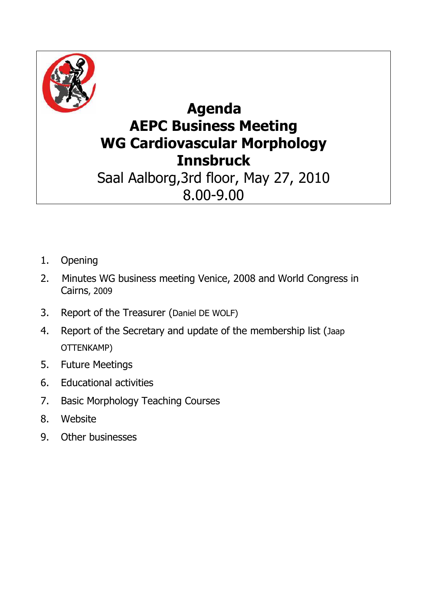

## **Agenda AEPC Business Meeting WG Cardiovascular Morphology Innsbruck**

Saal Aalborg,3rd floor, May 27, 2010 8.00-9.00

- 1. Opening
- 2. Minutes WG business meeting Venice, 2008 and World Congress in Cairns, 2009
- 3. Report of the Treasurer (Daniel DE WOLF)
- 4. Report of the Secretary and update of the membership list (Jaap OTTENKAMP)
- 5. Future Meetings
- 6. Educational activities
- 7. Basic Morphology Teaching Courses
- 8. Website
- 9. Other businesses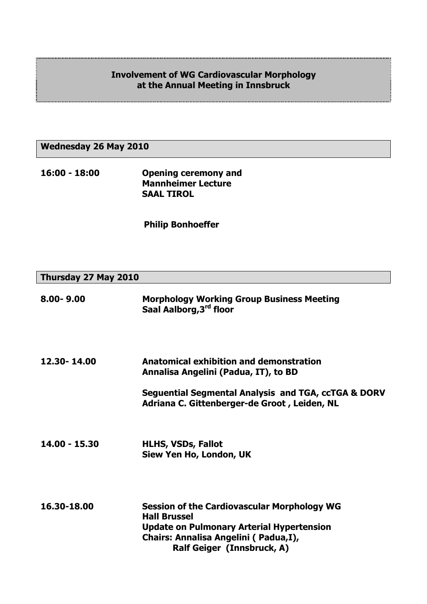## **Involvement of WG Cardiovascular Morphology at the Annual Meeting in Innsbruck**

F

## **Wednesday 26 May 2010**

**16:00 - 18:00 Opening ceremony and Mannheimer Lecture SAAL TIROL** 

 **Philip Bonhoeffer**

| Thursday 27 May 2010 |  |  |
|----------------------|--|--|
|----------------------|--|--|

| $8.00 - 9.00$ | <b>Morphology Working Group Business Meeting</b><br>Saal Aalborg, 3rd floor                                                                                                                         |
|---------------|-----------------------------------------------------------------------------------------------------------------------------------------------------------------------------------------------------|
| 12.30-14.00   | Anatomical exhibition and demonstration<br>Annalisa Angelini (Padua, IT), to BD                                                                                                                     |
|               | Seguential Segmental Analysis and TGA, ccTGA & DORV<br>Adriana C. Gittenberger-de Groot, Leiden, NL                                                                                                 |
| 14.00 - 15.30 | <b>HLHS, VSDs, Fallot</b><br>Siew Yen Ho, London, UK                                                                                                                                                |
| 16.30-18.00   | <b>Session of the Cardiovascular Morphology WG</b><br><b>Hall Brussel</b><br><b>Update on Pulmonary Arterial Hypertension</b><br>Chairs: Annalisa Angelini (Padua,I),<br>Ralf Geiger (Innsbruck, A) |